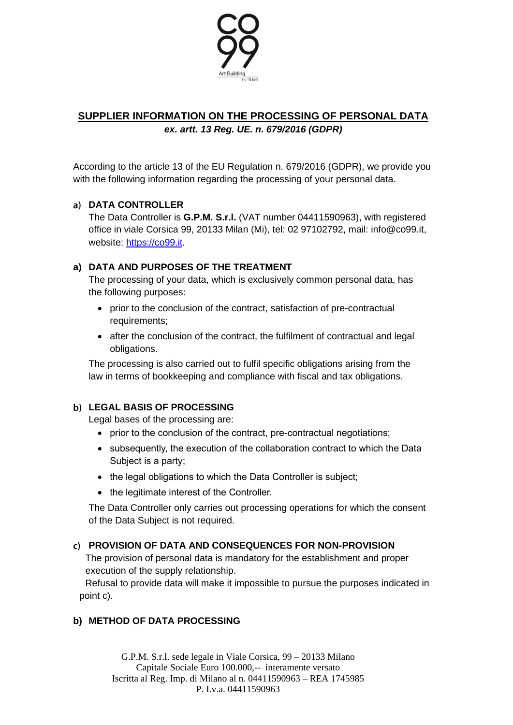

# **SUPPLIER INFORMATION ON THE PROCESSING OF PERSONAL DATA** *ex. artt. 13 Reg. UE. n. 679/2016 (GDPR)*

According to the article 13 of the EU Regulation n. 679/2016 (GDPR), we provide you with the following information regarding the processing of your personal data.

## **DATA CONTROLLER**

The Data Controller is **G.P.M. S.r.l.** (VAT number 04411590963), with registered office in viale Corsica 99, 20133 Milan (Mi), tel: 02 97102792, mail: info@co99.it, website: [https://co99.it.](https://co99.it/)

### **a) DATA AND PURPOSES OF THE TREATMENT**

The processing of your data, which is exclusively common personal data, has the following purposes:

- prior to the conclusion of the contract, satisfaction of pre-contractual requirements;
- after the conclusion of the contract, the fulfilment of contractual and legal obligations.

The processing is also carried out to fulfil specific obligations arising from the law in terms of bookkeeping and compliance with fiscal and tax obligations.

## **LEGAL BASIS OF PROCESSING**

Legal bases of the processing are:

- prior to the conclusion of the contract, pre-contractual negotiations:
- subsequently, the execution of the collaboration contract to which the Data Subject is a party;
- the legal obligations to which the Data Controller is subject;
- the legitimate interest of the Controller.

The Data Controller only carries out processing operations for which the consent of the Data Subject is not required.

#### **PROVISION OF DATA AND CONSEQUENCES FOR NON-PROVISION**

The provision of personal data is mandatory for the establishment and proper execution of the supply relationship.

Refusal to provide data will make it impossible to pursue the purposes indicated in point c).

## **b) METHOD OF DATA PROCESSING**

G.P.M. S.r.l. sede legale in Viale Corsica, 99 – 20133 Milano Capitale Sociale Euro 100.000,-- interamente versato Iscritta al Reg. Imp. di Milano al n. 04411590963 – REA 1745985 P. I.v.a. 04411590963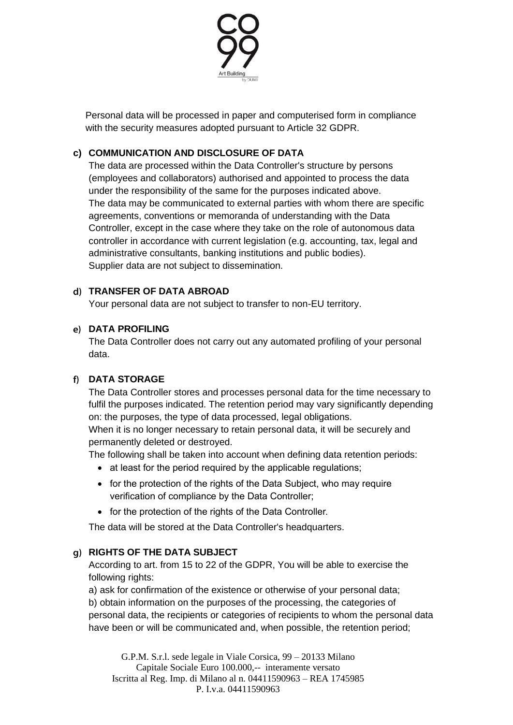

Personal data will be processed in paper and computerised form in compliance with the security measures adopted pursuant to Article 32 GDPR.

# **c) COMMUNICATION AND DISCLOSURE OF DATA**

The data are processed within the Data Controller's structure by persons (employees and collaborators) authorised and appointed to process the data under the responsibility of the same for the purposes indicated above. The data may be communicated to external parties with whom there are specific agreements, conventions or memoranda of understanding with the Data Controller, except in the case where they take on the role of autonomous data controller in accordance with current legislation (e.g. accounting, tax, legal and administrative consultants, banking institutions and public bodies). Supplier data are not subject to dissemination.

## **TRANSFER OF DATA ABROAD**

Your personal data are not subject to transfer to non-EU territory.

### **DATA PROFILING**

The Data Controller does not carry out any automated profiling of your personal data.

#### **DATA STORAGE**

The Data Controller stores and processes personal data for the time necessary to fulfil the purposes indicated. The retention period may vary significantly depending on: the purposes, the type of data processed, legal obligations.

When it is no longer necessary to retain personal data, it will be securely and permanently deleted or destroyed.

The following shall be taken into account when defining data retention periods:

- at least for the period required by the applicable regulations;
- for the protection of the rights of the Data Subject, who may require verification of compliance by the Data Controller;
- for the protection of the rights of the Data Controller.

The data will be stored at the Data Controller's headquarters.

## **RIGHTS OF THE DATA SUBJECT**

According to art. from 15 to 22 of the GDPR, You will be able to exercise the following rights:

a) ask for confirmation of the existence or otherwise of your personal data; b) obtain information on the purposes of the processing, the categories of personal data, the recipients or categories of recipients to whom the personal data have been or will be communicated and, when possible, the retention period;